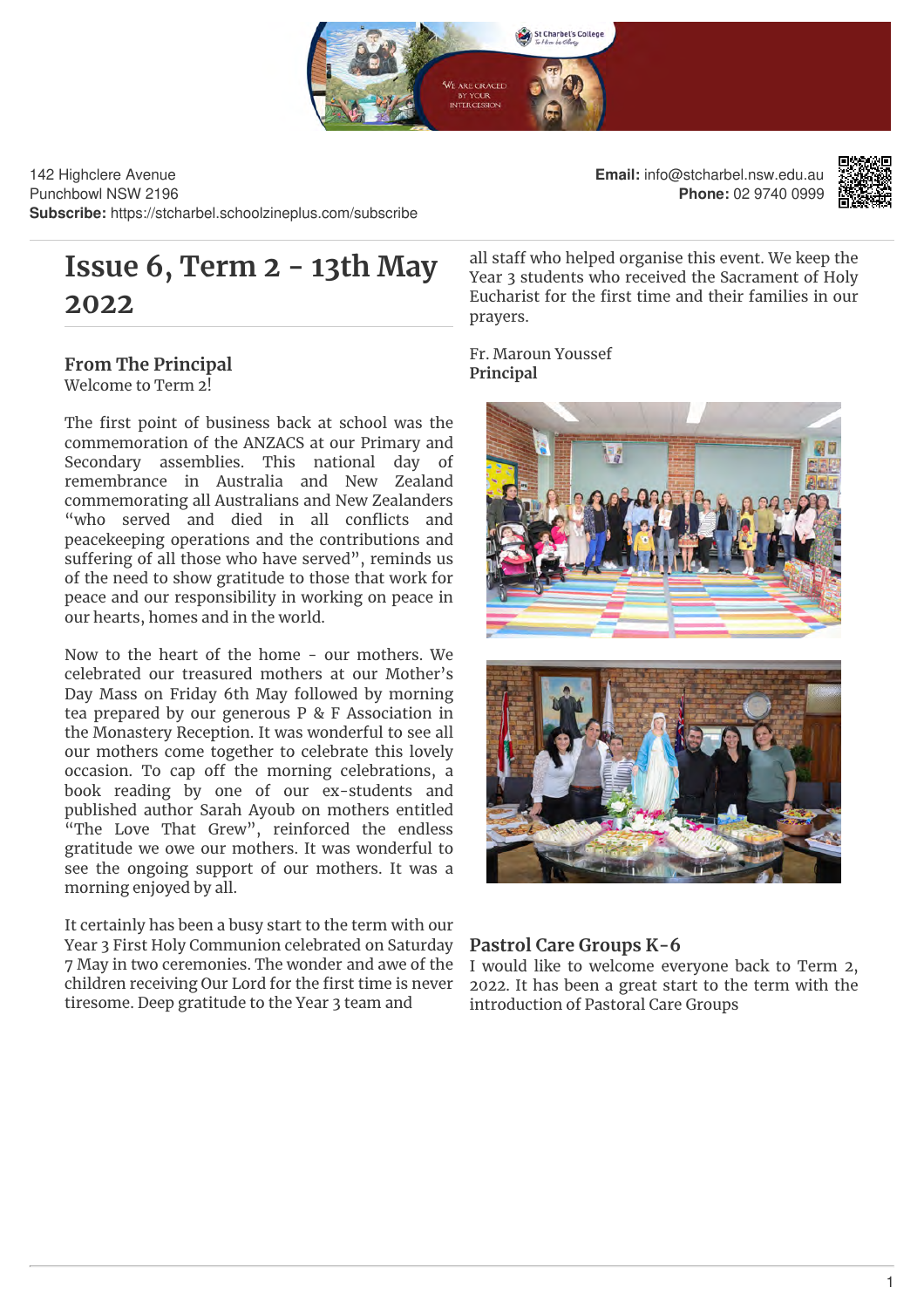

142 Highclere Avenue Punchbowl NSW 2196 **Subscribe:** https://stcharbel.schoolzineplus.com/subscribe

# **Issue 6, Term 2 - 13th May 2022**

## **From The Principal** Welcome to Term 2!

The first point of business back at school was the commemoration of the ANZACS at our Primary and Secondary assemblies. This national day of remembrance in Australia and New Zealand commemorating all Australians and New Zealanders "who served and died in all conflicts and peacekeeping operations and the contributions and suffering of all those who have served", reminds us of the need to show gratitude to those that work for peace and our responsibility in working on peace in our hearts, homes and in the world.

Now to the heart of the home - our mothers. We celebrated our treasured mothers at our Mother's Day Mass on Friday 6th May followed by morning tea prepared by our generous P & F Association in the Monastery Reception. It was wonderful to see all our mothers come together to celebrate this lovely occasion. To cap off the morning celebrations, a book reading by one of our ex-students and published author Sarah Ayoub on mothers entitled "The Love That Grew", reinforced the endless gratitude we owe our mothers. It was wonderful to see the ongoing support of our mothers. It was a morning enjoyed by all.

It certainly has been a busy start to the term with our Year 3 First Holy Communion celebrated on Saturday 7 May in two ceremonies. The wonder and awe of the children receiving Our Lord for the first time is never tiresome. Deep gratitude to the Year 3 team and

**Email:** info@stcharbel.nsw.edu.au **Phone:** 02 9740 0999



all staff who helped organise this event. We keep the Year 3 students who received the Sacrament of Holy Eucharist for the first time and their families in our prayers.

Fr. Maroun Youssef **Principal**





## **Pastrol Care Groups K-6**

I would like to welcome everyone back to Term 2, 2022. It has been a great start to the term with the introduction of Pastoral Care Groups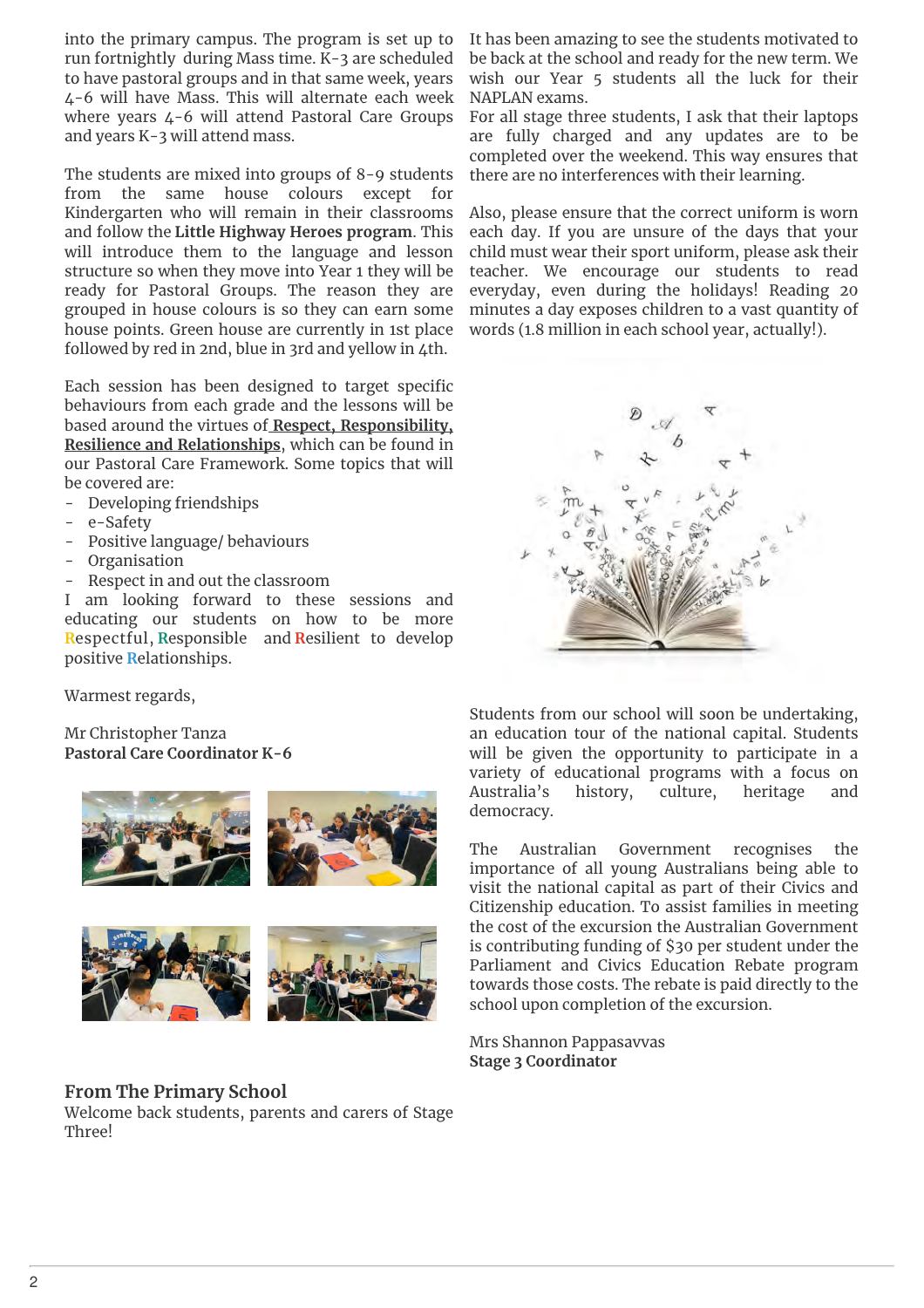into the primary campus. The program is set up to run fortnightly during Mass time. K-3 are scheduled to have pastoral groups and in that same week, years 4-6 will have Mass. This will alternate each week where years 4-6 will attend Pastoral Care Groups and years K-3 will attend mass.

The students are mixed into groups of 8-9 students from the same house colours except for Kindergarten who will remain in their classrooms and follow the **Little Highway Heroes program**. This will introduce them to the language and lesson structure so when they move into Year 1 they will be ready for Pastoral Groups. The reason they are grouped in house colours is so they can earn some house points. Green house are currently in 1st place followed by red in 2nd, blue in 3rd and yellow in 4th.

Each session has been designed to target specific behaviours from each grade and the lessons will be based around the virtues of **Respect, Responsibility, Resilience and Relationships**, which can be found in our Pastoral Care Framework. Some topics that will be covered are:

- Developing friendships
- e-Safety
- Positive language/ behaviours
- **Organisation**
- Respect in and out the classroom

I am looking forward to these sessions and educating our students on how to be more **R**espectful, **R**esponsible and **R**esilient to develop positive **R**elationships.

Warmest regards,

Mr Christopher Tanza **Pastoral Care Coordinator K-6**





## **From The Primary School**

Welcome back students, parents and carers of Stage Three!

It has been amazing to see the students motivated to be back at the school and ready for the new term. We wish our Year 5 students all the luck for their NAPLAN exams.

For all stage three students, I ask that their laptops are fully charged and any updates are to be completed over the weekend. This way ensures that there are no interferences with their learning.

Also, please ensure that the correct uniform is worn each day. If you are unsure of the days that your child must wear their sport uniform, please ask their teacher. We encourage our students to read everyday, even during the holidays! Reading 20 minutes a day exposes children to a vast quantity of words (1.8 million in each school year, actually!).



Students from our school will soon be undertaking, an education tour of the national capital. Students will be given the opportunity to participate in a variety of educational programs with a focus on Australia's history, culture, heritage and democracy.

The Australian Government recognises the importance of all young Australians being able to visit the national capital as part of their Civics and Citizenship education. To assist families in meeting the cost of the excursion the Australian Government is contributing funding of \$30 per student under the Parliament and Civics Education Rebate program towards those costs. The rebate is paid directly to the school upon completion of the excursion.

Mrs Shannon Pappasavvas **Stage 3 Coordinator**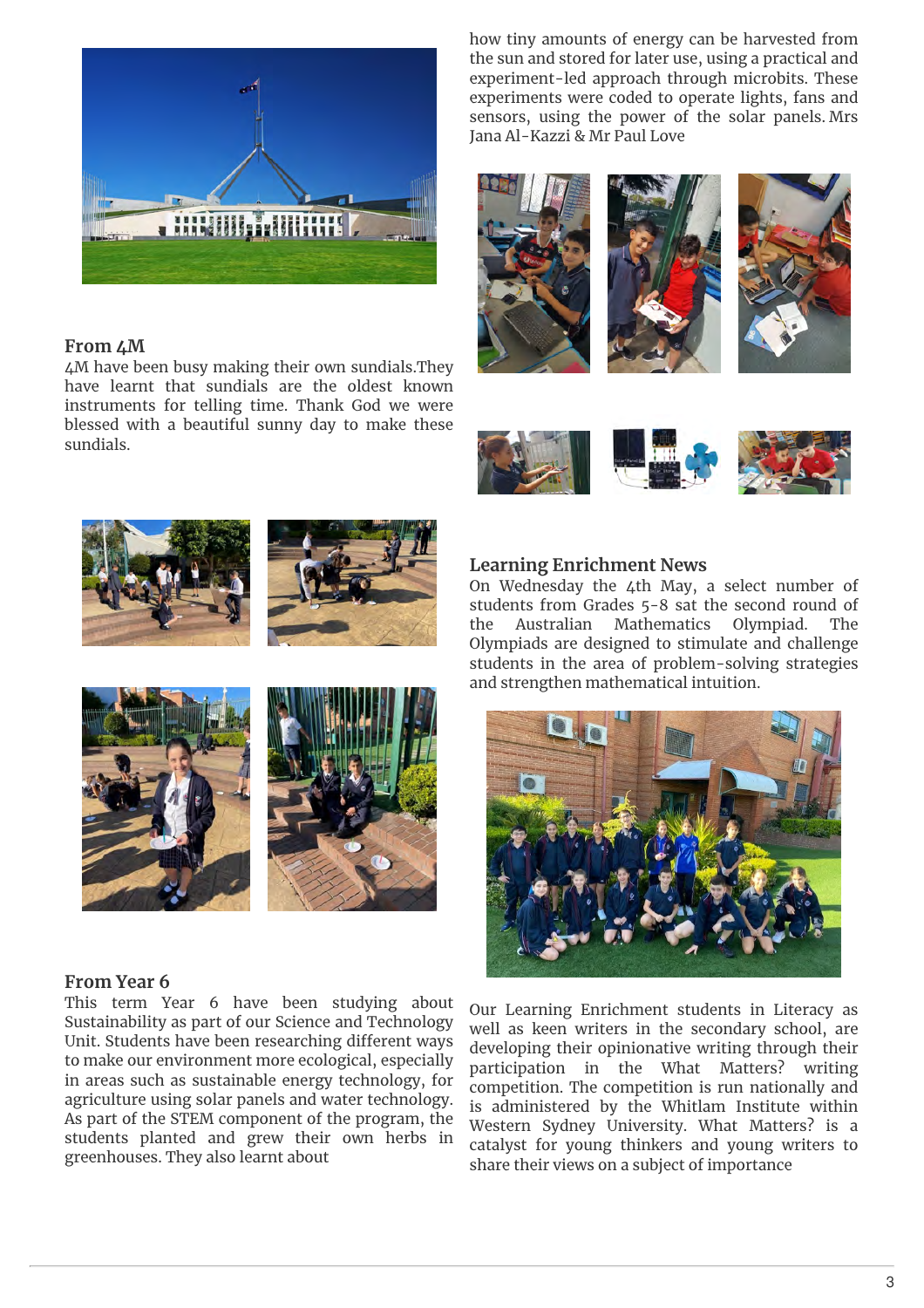

#### **From 4M**

4M have been busy making their own sundials.They have learnt that sundials are the oldest known instruments for telling time. Thank God we were blessed with a beautiful sunny day to make these sundials.

how tiny amounts of energy can be harvested from the sun and stored for later use, using a practical and experiment-led approach through microbits. These experiments were coded to operate lights, fans and sensors, using the power of the solar panels. Mrs Jana Al-Kazzi & Mr Paul Love















#### **From Year 6**

This term Year 6 have been studying about Sustainability as part of our Science and Technology Unit. Students have been researching different ways to make our environment more ecological, especially in areas such as sustainable energy technology, for agriculture using solar panels and water technology. As part of the STEM component of the program, the students planted and grew their own herbs in greenhouses. They also learnt about

#### **Learning Enrichment News**

On Wednesday the 4th May, a select number of students from Grades 5-8 sat the second round of the Australian Mathematics Olympiad. The Olympiads are designed to stimulate and challenge students in the area of problem-solving strategies and strengthen mathematical intuition.



Our Learning Enrichment students in Literacy as well as keen writers in the secondary school, are developing their opinionative writing through their participation in the What Matters? writing competition. The competition is run nationally and is administered by the Whitlam Institute within Western Sydney University. What Matters? is a catalyst for young thinkers and young writers to share their views on a subject of importance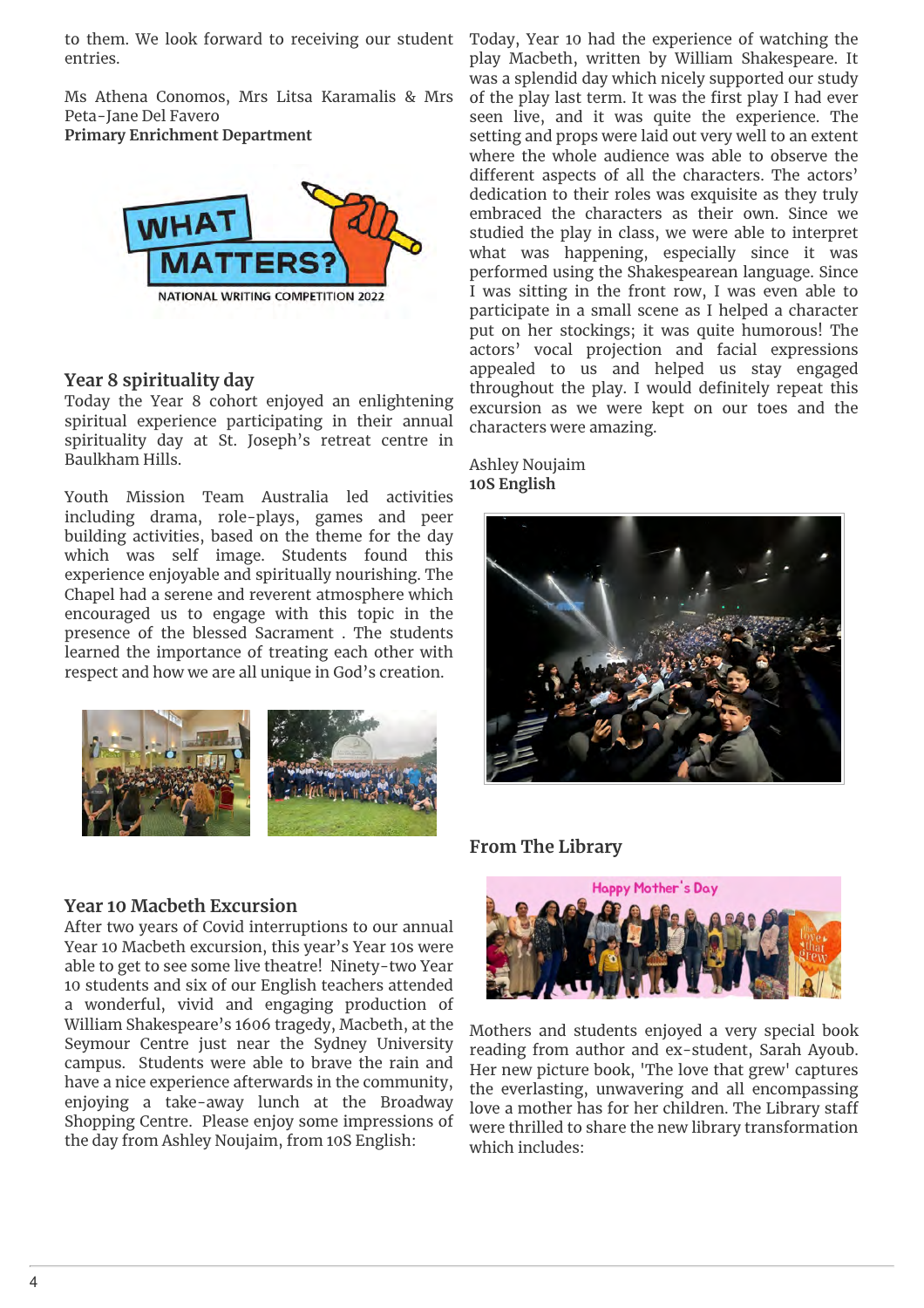to them. We look forward to receiving our student Today, Year 10 had the experience of watching the entries.

Ms Athena Conomos, Mrs Litsa Karamalis & Mrs Peta-Jane Del Favero

**Primary Enrichment Department**



## **Year 8 spirituality day**

Today the Year 8 cohort enjoyed an enlightening spiritual experience participating in their annual spirituality day at St. Joseph's retreat centre in Baulkham Hills.

Youth Mission Team Australia led activities including drama, role-plays, games and peer building activities, based on the theme for the day which was self image. Students found this experience enjoyable and spiritually nourishing. The Chapel had a serene and reverent atmosphere which encouraged us to engage with this topic in the presence of the blessed Sacrament . The students learned the importance of treating each other with respect and how we are all unique in God's creation.



play Macbeth, written by William Shakespeare. It was a splendid day which nicely supported our study of the play last term. It was the first play I had ever seen live, and it was quite the experience. The setting and props were laid out very well to an extent where the whole audience was able to observe the different aspects of all the characters. The actors' dedication to their roles was exquisite as they truly embraced the characters as their own. Since we studied the play in class, we were able to interpret what was happening, especially since it was performed using the Shakespearean language. Since I was sitting in the front row, I was even able to participate in a small scene as I helped a character put on her stockings; it was quite humorous! The actors' vocal projection and facial expressions appealed to us and helped us stay engaged throughout the play. I would definitely repeat this excursion as we were kept on our toes and the characters were amazing.

#### Ashley Noujaim **10S English**



## **From The Library**

#### **Year 10 Macbeth Excursion**

After two years of Covid interruptions to our annual Year 10 Macbeth excursion, this year's Year 10s were able to get to see some live theatre! Ninety-two Year 10 students and six of our English teachers attended a wonderful, vivid and engaging production of William Shakespeare's 1606 tragedy, Macbeth, at the Seymour Centre just near the Sydney University campus. Students were able to brave the rain and have a nice experience afterwards in the community, enjoying a take-away lunch at the Broadway Shopping Centre. Please enjoy some impressions of the day from Ashley Noujaim, from 10S English:



Mothers and students enjoyed a very special book reading from author and ex-student, Sarah Ayoub. Her new picture book, 'The love that grew' captures the everlasting, unwavering and all encompassing love a mother has for her children. The Library staff were thrilled to share the new library transformation which includes: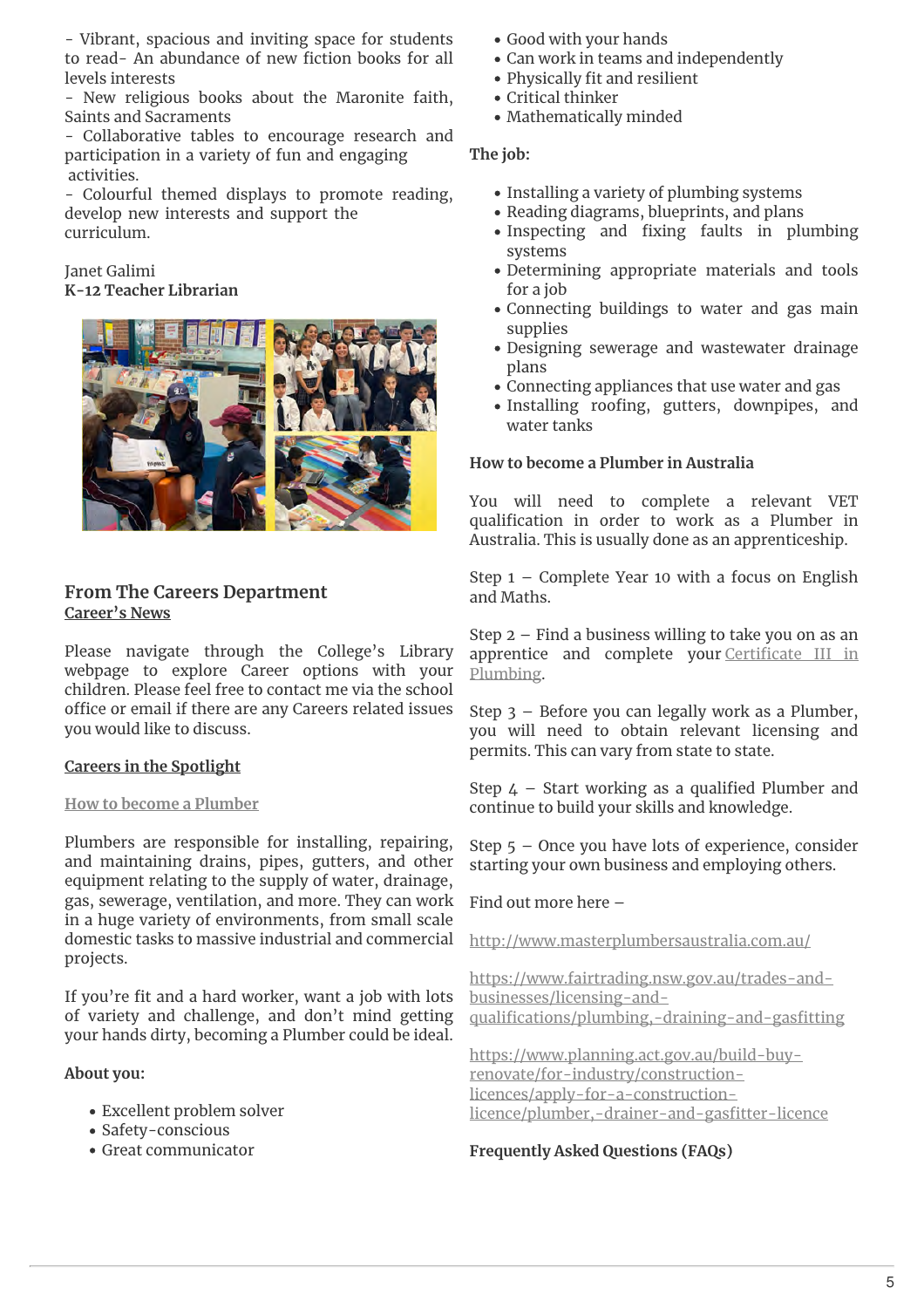- Vibrant, spacious and inviting space for students to read- An abundance of new fiction books for all levels interests

- New religious books about the Maronite faith, Saints and Sacraments

- Collaborative tables to encourage research and participation in a variety of fun and engaging activities.

- Colourful themed displays to promote reading, develop new interests and support the curriculum.

## Janet Galimi **K-12 Teacher Librarian**



## **From The Careers Department Career's News**

Please navigate through the College's Library webpage to explore Career options with your children. Please feel free to contact me via the school office or email if there are any Careers related issues you would like to discuss.

## **Careers in the Spotlight**

#### **How to become a Plumber**

Plumbers are responsible for installing, repairing, and maintaining drains, pipes, gutters, and other equipment relating to the supply of water, drainage, gas, sewerage, ventilation, and more. They can work in a huge variety of environments, from small scale domestic tasks to massive industrial and commercial projects.

If you're fit and a hard worker, want a job with lots of variety and challenge, and don't mind getting your hands dirty, becoming a Plumber could be ideal.

#### **About you:**

- Excellent problem solver
- Safety-conscious
- Great communicator
- Good with your hands
- Can work in teams and independently
- Physically fit and resilient
- Critical thinker
- Mathematically minded

### **The job:**

- Installing a variety of plumbing systems
- Reading diagrams, blueprints, and plans
- Inspecting and fixing faults in plumbing systems
- Determining appropriate materials and tools for a job
- Connecting buildings to water and gas main supplies
- Designing sewerage and wastewater drainage plans
- Connecting appliances that use water and gas
- Installing roofing, gutters, downpipes, and water tanks

#### **How to become a Plumber in Australia**

You will need to complete a relevant VET qualification in order to work as a Plumber in Australia. This is usually done as an apprenticeship.

Step 1 – Complete Year 10 with a focus on English and Maths.

Step 2 – Find a business willing to take you on as an apprentice and complete your Certificate III in Plumbing.

Step 3 – Before you can legally work as a Plumber, you will need to obtain relevant licensing and permits. This can vary from state to state.

Step  $4$  – Start working as a qualified Plumber and continue to build your skills and knowledge.

Step 5 – Once you have lots of experience, consider starting your own business and employing others.

Find out more here –

http://www.masterplumbersaustralia.com.au/

https://www.fairtrading.nsw.gov.au/trades-andbusinesses/licensing-andqualifications/plumbing,-draining-and-gasfitting

https://www.planning.act.gov.au/build-buyrenovate/for-industry/constructionlicences/apply-for-a-constructionlicence/plumber,-drainer-and-gasfitter-licence

## **Frequently Asked Questions (FAQs)**